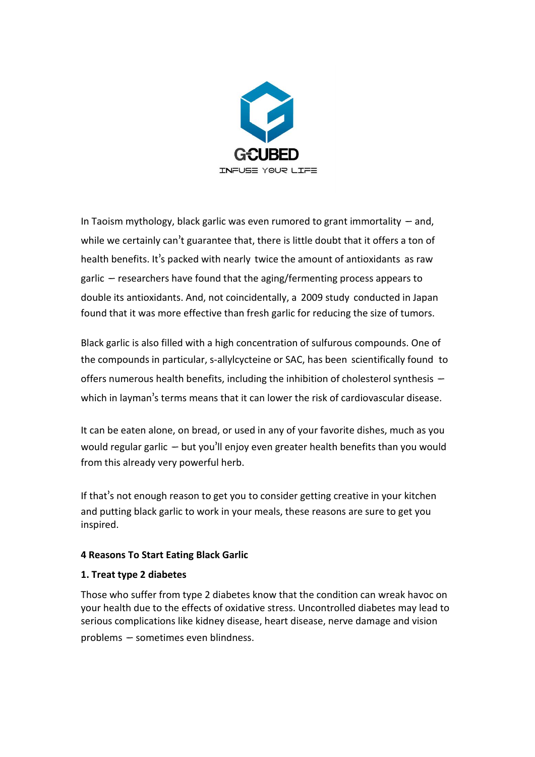

In Taoism mythology, black garlic was even rumored to grant immortality  $-$  and, while we certainly can't guarantee that, there is little doubt that it offers a ton of health benefits. It's packed with nearly twice the amount of [antioxidants](http://worldtruth.tv/aged-black-garlic-a-new-superfood%E2%80%8F/) as raw garlic  $-$  researchers have found that the aging/fermenting process appears to double its antioxidants. And, not coincidentally, a 2009 [study](http://www.globalsciencebooks.info/Online/GSBOnline/images/2010/MAPSB_4(1)/MAPSB_4(1)37-40o.pdf) conducted in Japan found that it was more effective than fresh garlic for reducing the size of tumors.

Black garlic is also filled with a high concentration of sulfurous compounds. One of the compounds in particular, s-allylcycteine or SAC, has been [scientifically](http://www.ncbi.nlm.nih.gov/pubmed/10757551?dopt=Abstract) found to offers numerous health benefits, including the inhibition of cholesterol synthesis  $$ which in layman's terms means that it can lower the risk of cardiovascular disease.

It can be eaten alone, on bread, or used in any of your favorite dishes, much as you would regular garlic – but you'll enjoy even greater health benefits than you would from this already very powerful herb.

If that's not enough reason to get you to consider getting creative in your kitchen and putting black garlic to work in your meals, these reasons are sure to get you inspired.

## **4 Reasons To Start Eating Black Garlic**

## **1. Treat type 2 diabetes**

Those who suffer from type 2 diabetes know that the condition can wreak havoc on your health due to the effects of oxidative stress. Uncontrolled diabetes may lead to serious complications like kidney disease, heart disease, nerve damage and vision problems – sometimes even blindness.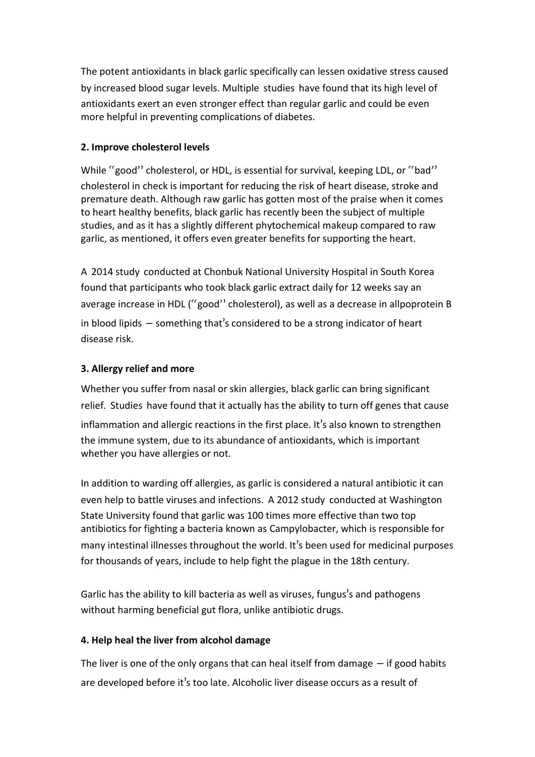The potent antioxidants in black garlic specifically can lessen oxidative stress caused by increased blood sugar levels.Multiple [studies](http://www.ncbi.nlm.nih.gov/pmc/articles/PMC2788179/) have found that its high level of antioxidants exert an even stronger effect than regular garlic and could be even more helpful in preventing complications of diabetes.

## **2. Improve** cholesterol levels

While "good" cholesterol, or HDL, is essential for survival, keeping LDL, or "bad" cholesterol in check is important for reducing the risk of heart disease, stroke and premature death. Although raw garlic has gotten most of the praise when it comes to heart healthy benefits, black garlic has recently been the subject of multiple studies, and as it has a slightly different phytochemical makeup compared to raw garlic, as mentioned, it offers even greater benefits for supporting the heart.

A 2014 [study](http://www.nutritionjrnl.com/article/S0899-9007(14)00119-1/abstract) conducted at Chonbuk National University Hospital in South Korea found that participants who took black garlic extract daily for 12 weeks say an average increase in HDL ("good" cholesterol), as well as a decrease in allpoprotein B in blood lipids – something that's considered to be a strong indicator of heart disease risk.

# **3. Allergy relief and more**

Whether you suffer from nasal or skin allergies, black garlic can bring significant relief. [Studies](http://www.ncbi.nlm.nih.gov/pmc/articles/PMC3901385/) have found that it actually has the ability to turn off genes that cause inflammation and allergic reactions in the first place. It's also known to strengthen the immune system, due to its abundance of antioxidants, which is important whether you have allergies or not.

In addition to warding off allergies, as garlic is considered a natural antibiotic it can even help to battle viruses and infections. A 2012 [study](https://www.sciencedaily.com/releases/2012/05/120501134203.htm) conducted at Washington State University found that garlic was 100 times more effective than two top antibiotics for fighting a bacteria known as Campylobacter, which is responsible for many intestinal illnesses throughout the world. It's been used for medicinal purposes for thousands of years, include to help fight the plague in the 18th century.

Garlic has the ability to kill bacteria as well as viruses, fungus's and pathogens without harming beneficial gut flora, unlike antibiotic drugs.

## **4. Help heal the liver from alcohol damage**

The liver is one of the only organs that can heal itself from damage  $-$  if good habits are developed before it's too late. Alcoholic liver disease occurs as a result of